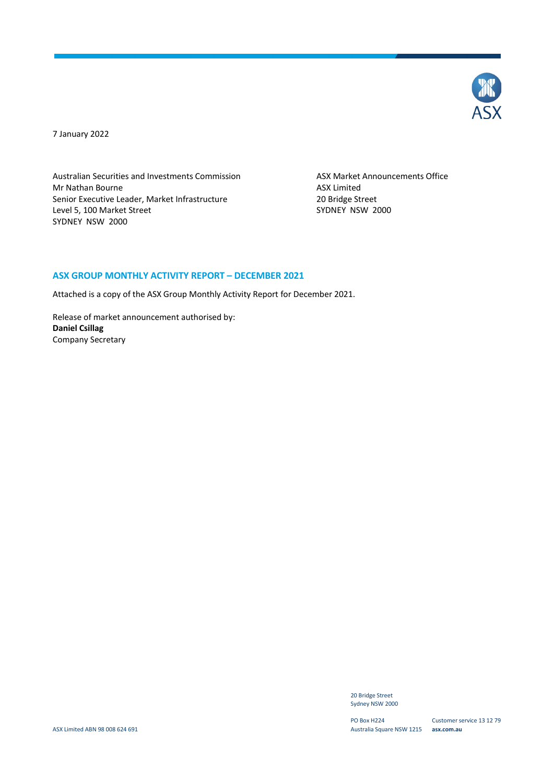

7 January 2022

Australian Securities and Investments Commission ASX Market Announcements Office Mr Nathan Bourne **ASX** Limited Senior Executive Leader, Market Infrastructure 20 Bridge Street<br>
20 Bridge Street<br>
2000 SYDNEY NSW Level 5, 100 Market Street SYDNEY NSW 2000

#### **ASX GROUP MONTHLY ACTIVITY REPORT – DECEMBER 2021**

Attached is a copy of the ASX Group Monthly Activity Report for December 2021.

Release of market announcement authorised by: **Daniel Csillag** Company Secretary

> 20 Bridge Street Sydney NSW 2000

PO Box H224 Australia Square NSW 1215 **asx.com.au**

Customer service 13 12 79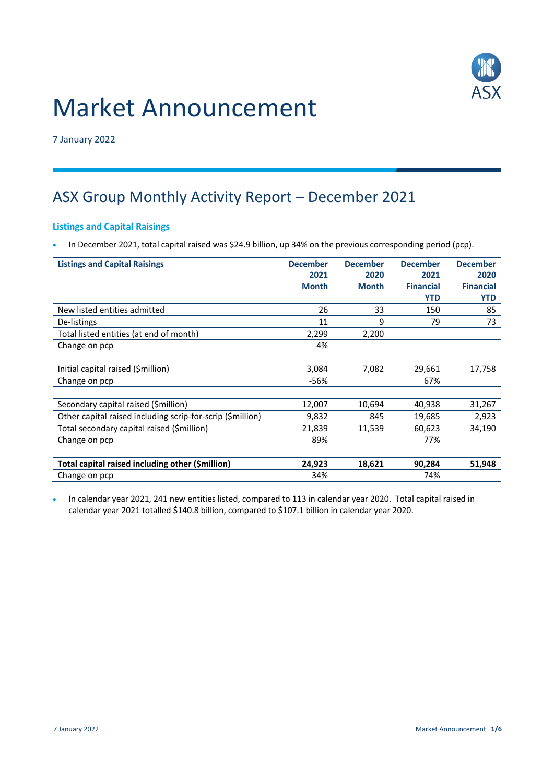

# Market Announcement

7 January 2022

# ASX Group Monthly Activity Report – December 2021

#### **Listings and Capital Raisings**

In December 2021, total capital raised was \$24.9 billion, up 34% on the previous corresponding period (pcp).

| <b>Listings and Capital Raisings</b>                       | <b>December</b> | <b>December</b> | <b>December</b>  | <b>December</b>  |
|------------------------------------------------------------|-----------------|-----------------|------------------|------------------|
|                                                            | 2021            | 2020            | 2021             | 2020             |
|                                                            | <b>Month</b>    | <b>Month</b>    | <b>Financial</b> | <b>Financial</b> |
|                                                            |                 |                 | <b>YTD</b>       | <b>YTD</b>       |
| New listed entities admitted                               | 26              | 33              | 150              | 85               |
| De-listings                                                | 11              | 9               | 79               | 73               |
| Total listed entities (at end of month)                    | 2,299           | 2,200           |                  |                  |
| Change on pcp                                              | 4%              |                 |                  |                  |
|                                                            |                 |                 |                  |                  |
| Initial capital raised (\$million)                         | 3,084           | 7,082           | 29,661           | 17,758           |
| Change on pcp                                              | $-56%$          |                 | 67%              |                  |
|                                                            |                 |                 |                  |                  |
| Secondary capital raised (\$million)                       | 12,007          | 10,694          | 40,938           | 31,267           |
| Other capital raised including scrip-for-scrip (\$million) | 9,832           | 845             | 19,685           | 2,923            |
| Total secondary capital raised (\$million)                 | 21,839          | 11,539          | 60,623           | 34,190           |
| Change on pcp                                              | 89%             |                 | 77%              |                  |
|                                                            |                 |                 |                  |                  |
| Total capital raised including other (\$million)           | 24,923          | 18,621          | 90,284           | 51,948           |
| Change on pcp                                              | 34%             |                 | 74%              |                  |

 In calendar year 2021, 241 new entities listed, compared to 113 in calendar year 2020. Total capital raised in calendar year 2021 totalled \$140.8 billion, compared to \$107.1 billion in calendar year 2020.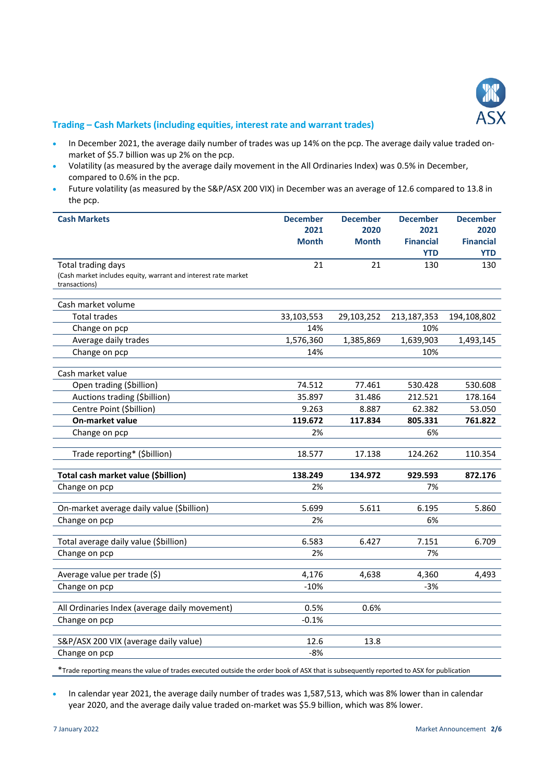

#### **Trading – Cash Markets (including equities, interest rate and warrant trades)**

- In December 2021, the average daily number of trades was up 14% on the pcp. The average daily value traded onmarket of \$5.7 billion was up 2% on the pcp.
- Volatility (as measured by the average daily movement in the All Ordinaries Index) was 0.5% in December, compared to 0.6% in the pcp.
- Future volatility (as measured by the S&P/ASX 200 VIX) in December was an average of 12.6 compared to 13.8 in the pcp.

| <b>Cash Markets</b>                                            | <b>December</b> | <b>December</b> | <b>December</b>  | <b>December</b>  |
|----------------------------------------------------------------|-----------------|-----------------|------------------|------------------|
|                                                                | 2021            | 2020            | 2021             | 2020             |
|                                                                | <b>Month</b>    | <b>Month</b>    | <b>Financial</b> | <b>Financial</b> |
|                                                                |                 |                 | <b>YTD</b>       | <b>YTD</b>       |
| Total trading days                                             | 21              | 21              | 130              | 130              |
| (Cash market includes equity, warrant and interest rate market |                 |                 |                  |                  |
| transactions)                                                  |                 |                 |                  |                  |
| Cash market volume                                             |                 |                 |                  |                  |
| <b>Total trades</b>                                            | 33,103,553      | 29,103,252      | 213,187,353      | 194,108,802      |
| Change on pcp                                                  | 14%             |                 | 10%              |                  |
| Average daily trades                                           | 1,576,360       | 1,385,869       | 1,639,903        | 1,493,145        |
| Change on pcp                                                  | 14%             |                 | 10%              |                  |
| Cash market value                                              |                 |                 |                  |                  |
| Open trading (\$billion)                                       | 74.512          | 77.461          | 530.428          | 530.608          |
| Auctions trading (\$billion)                                   | 35.897          | 31.486          | 212.521          | 178.164          |
| Centre Point (\$billion)                                       | 9.263           | 8.887           | 62.382           | 53.050           |
| On-market value                                                | 119.672         | 117.834         | 805.331          | 761.822          |
| Change on pcp                                                  | 2%              |                 | 6%               |                  |
| Trade reporting* (\$billion)                                   | 18.577          | 17.138          | 124.262          | 110.354          |
|                                                                |                 |                 |                  |                  |
| Total cash market value (\$billion)                            | 138.249         | 134.972         | 929.593          | 872.176          |
| Change on pcp                                                  | 2%              |                 | 7%               |                  |
| On-market average daily value (\$billion)                      | 5.699           | 5.611           | 6.195            | 5.860            |
| Change on pcp                                                  | 2%              |                 | 6%               |                  |
|                                                                |                 |                 |                  |                  |
| Total average daily value (\$billion)                          | 6.583           | 6.427           | 7.151            | 6.709            |
| Change on pcp                                                  | 2%              |                 | 7%               |                  |
| Average value per trade (\$)                                   | 4,176           | 4,638           | 4,360            | 4,493            |
| Change on pcp                                                  | $-10%$          |                 | $-3%$            |                  |
|                                                                |                 |                 |                  |                  |
| All Ordinaries Index (average daily movement)                  | 0.5%            | 0.6%            |                  |                  |
| Change on pcp                                                  | $-0.1%$         |                 |                  |                  |
| S&P/ASX 200 VIX (average daily value)                          | 12.6            | 13.8            |                  |                  |
| Change on pcp                                                  | $-8%$           |                 |                  |                  |
|                                                                |                 |                 |                  |                  |

\*Trade reporting means the value of trades executed outside the order book of ASX that is subsequently reported to ASX for publication

 In calendar year 2021, the average daily number of trades was 1,587,513, which was 8% lower than in calendar year 2020, and the average daily value traded on-market was \$5.9 billion, which was 8% lower.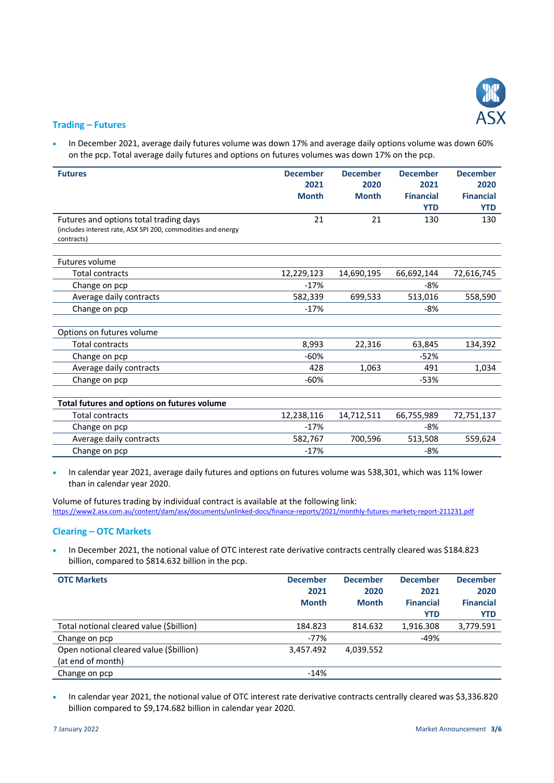

### **Trading – Futures**

 In December 2021, average daily futures volume was down 17% and average daily options volume was down 60% on the pcp. Total average daily futures and options on futures volumes was down 17% on the pcp.

| <b>Futures</b>                                               | <b>December</b> | <b>December</b> | <b>December</b>  | <b>December</b>  |
|--------------------------------------------------------------|-----------------|-----------------|------------------|------------------|
|                                                              | 2021            | 2020            | 2021             | 2020             |
|                                                              | <b>Month</b>    | <b>Month</b>    | <b>Financial</b> | <b>Financial</b> |
|                                                              |                 |                 | <b>YTD</b>       | <b>YTD</b>       |
| Futures and options total trading days                       | 21              | 21              | 130              | 130              |
| (includes interest rate, ASX SPI 200, commodities and energy |                 |                 |                  |                  |
| contracts)                                                   |                 |                 |                  |                  |
| Futures volume                                               |                 |                 |                  |                  |
| <b>Total contracts</b>                                       | 12,229,123      | 14,690,195      | 66,692,144       | 72,616,745       |
| Change on pcp                                                | $-17%$          |                 | -8%              |                  |
| Average daily contracts                                      | 582,339         | 699,533         | 513,016          | 558,590          |
| Change on pcp                                                | $-17%$          |                 | -8%              |                  |
|                                                              |                 |                 |                  |                  |
| Options on futures volume                                    |                 |                 |                  |                  |
| <b>Total contracts</b>                                       | 8,993           | 22,316          | 63,845           | 134,392          |
| Change on pcp                                                | $-60%$          |                 | $-52%$           |                  |
| Average daily contracts                                      | 428             | 1,063           | 491              | 1,034            |
| Change on pcp                                                | $-60%$          |                 | $-53%$           |                  |
|                                                              |                 |                 |                  |                  |
| Total futures and options on futures volume                  |                 |                 |                  |                  |
| <b>Total contracts</b>                                       | 12,238,116      | 14,712,511      | 66,755,989       | 72,751,137       |
| Change on pcp                                                | $-17%$          |                 | -8%              |                  |
| Average daily contracts                                      | 582,767         | 700,596         | 513,508          | 559,624          |
| Change on pcp                                                | $-17%$          |                 | -8%              |                  |

 In calendar year 2021, average daily futures and options on futures volume was 538,301, which was 11% lower than in calendar year 2020.

Volume of futures trading by individual contract is available at the following link: <https://www2.asx.com.au/content/dam/asx/documents/unlinked-docs/finance-reports/2021/monthly-futures-markets-report-211231.pdf>

#### **Clearing – OTC Markets**

 In December 2021, the notional value of OTC interest rate derivative contracts centrally cleared was \$184.823 billion, compared to \$814.632 billion in the pcp.

| <b>OTC Markets</b>                       | <b>December</b><br>2021<br><b>Month</b> | <b>December</b><br>2020<br><b>Month</b> | <b>December</b><br>2021<br><b>Financial</b> | <b>December</b><br>2020<br><b>Financial</b> |
|------------------------------------------|-----------------------------------------|-----------------------------------------|---------------------------------------------|---------------------------------------------|
|                                          |                                         |                                         | <b>YTD</b>                                  | <b>YTD</b>                                  |
| Total notional cleared value (\$billion) | 184.823                                 | 814.632                                 | 1.916.308                                   | 3,779.591                                   |
| Change on pcp                            | $-77%$                                  |                                         | $-49%$                                      |                                             |
| Open notional cleared value (\$billion)  | 3,457.492                               | 4,039.552                               |                                             |                                             |
| (at end of month)                        |                                         |                                         |                                             |                                             |
| Change on pcp                            | $-14%$                                  |                                         |                                             |                                             |

 In calendar year 2021, the notional value of OTC interest rate derivative contracts centrally cleared was \$3,336.820 billion compared to \$9,174.682 billion in calendar year 2020.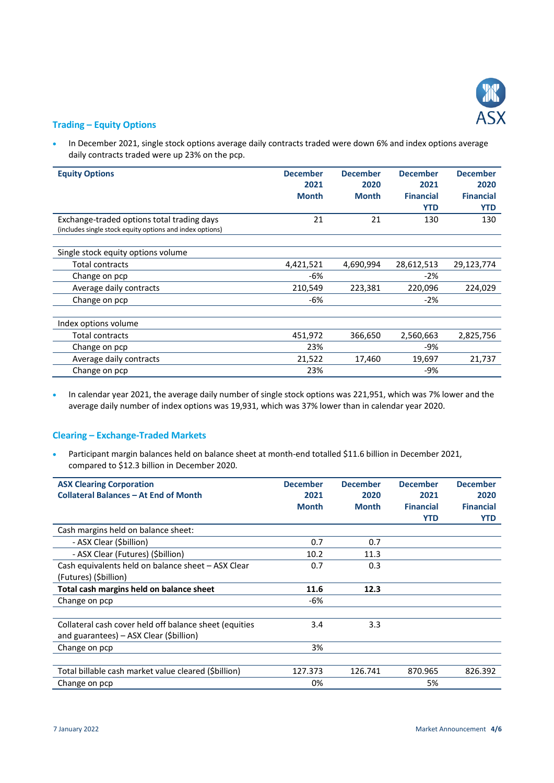

#### **Trading – Equity Options**

• In December 2021, single stock options average daily contracts traded were down 6% and index options average daily contracts traded were up 23% on the pcp.

| <b>Equity Options</b>                                    | <b>December</b><br>2021 | <b>December</b><br>2020 | <b>December</b><br>2021 | <b>December</b><br>2020 |
|----------------------------------------------------------|-------------------------|-------------------------|-------------------------|-------------------------|
|                                                          | <b>Month</b>            | <b>Month</b>            | <b>Financial</b>        | <b>Financial</b>        |
|                                                          |                         |                         | <b>YTD</b>              | <b>YTD</b>              |
|                                                          |                         |                         |                         |                         |
| Exchange-traded options total trading days               | 21                      | 21                      | 130                     | 130                     |
| (includes single stock equity options and index options) |                         |                         |                         |                         |
|                                                          |                         |                         |                         |                         |
| Single stock equity options volume                       |                         |                         |                         |                         |
| Total contracts                                          | 4,421,521               | 4,690,994               | 28,612,513              | 29,123,774              |
| Change on pcp                                            | -6%                     |                         | $-2\%$                  |                         |
| Average daily contracts                                  | 210,549                 | 223,381                 | 220,096                 | 224,029                 |
| Change on pcp                                            | -6%                     |                         | $-2%$                   |                         |
|                                                          |                         |                         |                         |                         |
| Index options volume                                     |                         |                         |                         |                         |
| Total contracts                                          | 451,972                 | 366,650                 | 2,560,663               | 2,825,756               |
| Change on pcp                                            | 23%                     |                         | -9%                     |                         |
| Average daily contracts                                  | 21,522                  | 17,460                  | 19,697                  | 21,737                  |
| Change on pcp                                            | 23%                     |                         | -9%                     |                         |

• In calendar year 2021, the average daily number of single stock options was 221,951, which was 7% lower and the average daily number of index options was 19,931, which was 37% lower than in calendar year 2020.

# **Clearing – Exchange-Traded Markets**

 Participant margin balances held on balance sheet at month-end totalled \$11.6 billion in December 2021, compared to \$12.3 billion in December 2020.

| <b>ASX Clearing Corporation</b>                        | <b>December</b> | <b>December</b> | <b>December</b>  | <b>December</b>  |
|--------------------------------------------------------|-----------------|-----------------|------------------|------------------|
| <b>Collateral Balances - At End of Month</b>           | 2021            | 2020            | 2021             | 2020             |
|                                                        | <b>Month</b>    | <b>Month</b>    | <b>Financial</b> | <b>Financial</b> |
|                                                        |                 |                 | YTD              | <b>YTD</b>       |
| Cash margins held on balance sheet:                    |                 |                 |                  |                  |
| - ASX Clear (\$billion)                                | 0.7             | 0.7             |                  |                  |
| - ASX Clear (Futures) (Sbillion)                       | 10.2            | 11.3            |                  |                  |
| Cash equivalents held on balance sheet - ASX Clear     | 0.7             | 0.3             |                  |                  |
| (Futures) (\$billion)                                  |                 |                 |                  |                  |
| Total cash margins held on balance sheet               | 11.6            | 12.3            |                  |                  |
| Change on pcp                                          | -6%             |                 |                  |                  |
|                                                        |                 |                 |                  |                  |
| Collateral cash cover held off balance sheet (equities | 3.4             | 3.3             |                  |                  |
| and guarantees) – ASX Clear (\$billion)                |                 |                 |                  |                  |
| Change on pcp                                          | 3%              |                 |                  |                  |
|                                                        |                 |                 |                  |                  |
| Total billable cash market value cleared (Sbillion)    | 127.373         | 126.741         | 870.965          | 826.392          |
| Change on pcp                                          | 0%              |                 | 5%               |                  |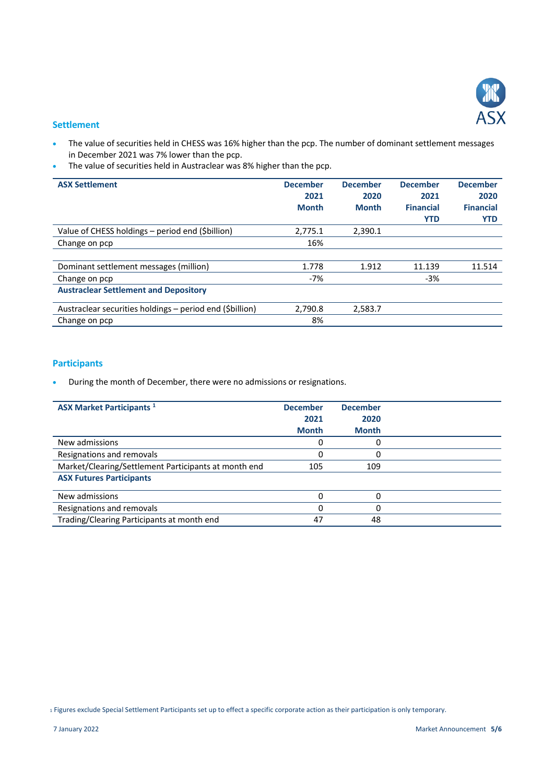

#### **Settlement**

- The value of securities held in CHESS was 16% higher than the pcp. The number of dominant settlement messages in December 2021 was 7% lower than the pcp.
- The value of securities held in Austraclear was 8% higher than the pcp.

| <b>ASX Settlement</b>                                    | <b>December</b><br>2021<br><b>Month</b> | <b>December</b><br>2020<br><b>Month</b> | <b>December</b><br>2021<br><b>Financial</b><br><b>YTD</b> | <b>December</b><br>2020<br><b>Financial</b><br><b>YTD</b> |
|----------------------------------------------------------|-----------------------------------------|-----------------------------------------|-----------------------------------------------------------|-----------------------------------------------------------|
| Value of CHESS holdings - period end (\$billion)         | 2,775.1                                 | 2,390.1                                 |                                                           |                                                           |
| Change on pcp                                            | 16%                                     |                                         |                                                           |                                                           |
|                                                          |                                         |                                         |                                                           |                                                           |
| Dominant settlement messages (million)                   | 1.778                                   | 1.912                                   | 11.139                                                    | 11.514                                                    |
| Change on pcp                                            | $-7%$                                   |                                         | $-3%$                                                     |                                                           |
| <b>Austraclear Settlement and Depository</b>             |                                         |                                         |                                                           |                                                           |
| Austraclear securities holdings - period end (\$billion) | 2.790.8                                 | 2,583.7                                 |                                                           |                                                           |
| Change on pcp                                            | 8%                                      |                                         |                                                           |                                                           |

# **Participants**

During the month of December, there were no admissions or resignations.

| <b>ASX Market Participants 1</b>                     | <b>December</b><br>2021<br><b>Month</b> | <b>December</b><br>2020<br><b>Month</b> |  |
|------------------------------------------------------|-----------------------------------------|-----------------------------------------|--|
| New admissions                                       |                                         |                                         |  |
| Resignations and removals                            | Ω                                       | 0                                       |  |
| Market/Clearing/Settlement Participants at month end | 105                                     | 109                                     |  |
| <b>ASX Futures Participants</b>                      |                                         |                                         |  |
| New admissions                                       |                                         |                                         |  |
| Resignations and removals                            | 0                                       | 0                                       |  |
| Trading/Clearing Participants at month end           | 47                                      | 48                                      |  |

<sup>1</sup> Figures exclude Special Settlement Participants set up to effect a specific corporate action as their participation is only temporary.